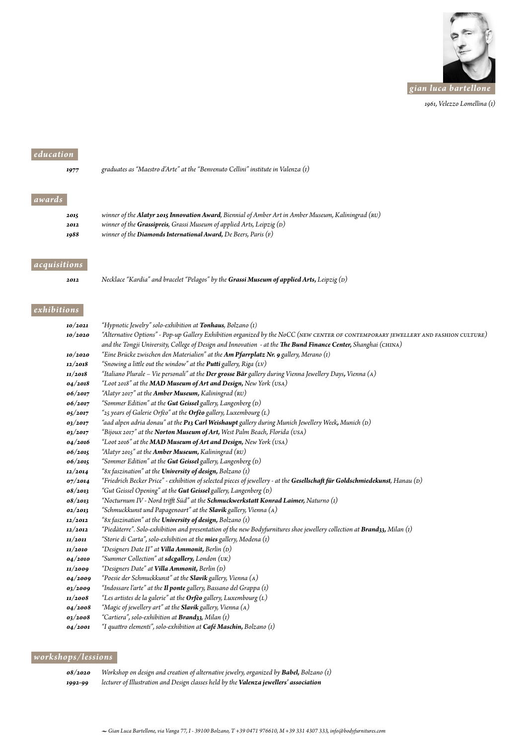

 *1961, Velezzo Lomellina (I)*

### *education*

*awards*

|       | 1977 | graduates as "Maestro d'Arte" at the "Benvenuto Cellini" institute in Valenza (1) |
|-------|------|-----------------------------------------------------------------------------------|
|       |      |                                                                                   |
| wards |      |                                                                                   |

| 2015 | winner of the <b>Alatyr 2015 Innovation Award</b> , Biennial of Amber Art in Amber Museum, Kaliningrad (RU) |
|------|-------------------------------------------------------------------------------------------------------------|
| 2012 | winner of the <b>Grassipreis</b> , Grassi Museum of applied Arts, Leipzig $(D)$                             |
| 1988 | winner of the <b>Diamonds International Award</b> , De Beers, Paris $(F)$                                   |

#### *acquisitions*

*2012 Necklace "Kardia" and bracelet "Pelagos" by the Grassi Museum of applied Arts, Leipzig (D)*

#### *exhibitions*

| 10/2021 | "Hypnotic Jewelry" solo-exhibition at <b>Tonhaus</b> , Bolzano (I)                                                                 |
|---------|------------------------------------------------------------------------------------------------------------------------------------|
| 10/2020 | "Alternative Options" - Pop-up Gallery Exhibition organized by the NoCC (NEW CENTER OF CONTEMPORARY JEWELLERY AND FASHION CULTURE) |
|         | and the Tongji University, College of Design and Innovation - at the The Bund Finance Center, Shanghai (CHINA)                     |
| 10/2020 | "Eine Brücke zwischen den Materialien" at the $Am$ Pfarrplatz Nr. 9 gallery, Merano (1)                                            |
| 12/2018 | "Snowing a little out the window" at the <b>Putti</b> gallery, Riga $(LV)$                                                         |
| 11/2018 | "Italiano Plurale – Vie personali" at the Der grosse Bär gallery during Vienna Jewellery Days, Vienna (A)                          |
| 04/2018 | "Loot 2018" at the MAD Museum of Art and Design, New York (USA)                                                                    |
| 06/2017 | "Alatyr 2017" at the Amber Museum, Kaliningrad (RU)                                                                                |
| 06/2017 | "Sommer Edition" at the Gut Geissel gallery, Langenberg (D)                                                                        |
| 05/2017 | "25 years of Galerie Orfèo" at the <b>Orfèo</b> gallery, Luxembourg $(L)$                                                          |
| 03/2017 | "aad alpen adria donau" at the <b>P13 Carl Weishaupt</b> gallery during Munich Jewellery Week, Munich (D)                          |
| 03/2017 | "Bijoux 2017" at the Norton Museum of Art, West Palm Beach, Florida (USA)                                                          |
| 04/2016 | "Loot 2016" at the MAD Museum of Art and Design, New York (USA)                                                                    |
| 06/2015 | "Alatyr 2015" at the <b>Amber Museum</b> , Kaliningrad (RU)                                                                        |
| 06/2015 | "Sommer Edition" at the <b>Gut Geissel</b> gallery, Langenberg (D)                                                                 |
| 12/2014 | "8x faszination" at the <b>University of design,</b> Bolzano (I)                                                                   |
| 07/2014 | "Friedrich Becker Price" - exhibition of selected pieces of jewellery - at the Gesellschaft für Goldschmiedekunst, Hanau (D)       |
| 08/2013 | "Gut Geissel Opening" at the <b>Gut Geissel</b> gallery, Langenberg (D)                                                            |
| 08/2013 | "Nocturnum IV - Nord trifft Süd" at the Schmuckwerkstatt Konrad Laimer, Naturno $(i)$                                              |
| 02/2013 | "Schmuckkunst und Papagenoart" at the <b>Slavik</b> gallery, Vienna $(A)$                                                          |
| 12/2012 | "8x faszination" at the University of design, Bolzano (1)                                                                          |
| 12/2012 | "Piedàterre". Solo-exhibition and presentation of the new Bodyfurnitures shoe jewellery collection at <b>Brand33,</b> Milan (1)    |
| 11/2011 | "Storie di Carta", solo-exhibition at the mies gallery, Modena (1)                                                                 |
| 11/2010 | "Designers Date II" at Villa Ammonit, Berlin (D)                                                                                   |
| 04/2010 | "Summer Collection" at sdcgallery, London (UK)                                                                                     |
| 11/2009 | "Designers Date" at Villa Ammonit, Berlin (D)                                                                                      |
| 04/2009 | "Poesie der Schmuckkunst" at the Slavik gallery, Vienna (A)                                                                        |
| 03/2009 | "Indossare l'arte" at the <b>Il ponte</b> gallery, Bassano del Grappa (I)                                                          |
| 11/2008 | "Les artistes de la galerie" at the <b>Orfèo</b> gallery, Luxembourg $(L)$                                                         |
| 04/2008 | "Magic of jewellery art" at the <b>Slavik</b> gallery, Vienna (A)                                                                  |
| 03/2008 | "Cartiera", solo-exhibition at <b>Brand33</b> , Milan (1)                                                                          |
| 04/2001 | "I quattro elementi", solo-exhibition at Café Maschin, Bolzano (1)                                                                 |

#### *workshops/lessions*

*08/2020 Workshop on design and creation of alternative jewelry, organized by Babel, Bolzano (I) 1992-99 lecturer of Illustration and Design classes held by the Valenza jewellers' association*